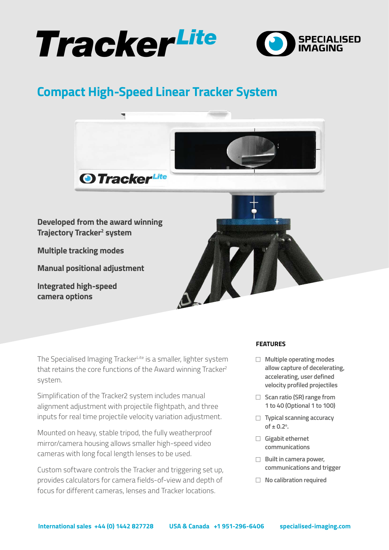



# **Compact High-Speed Linear Tracker System**



The Specialised Imaging TrackerLite is a smaller, lighter system that retains the core functions of the Award winning Tracker<sup>2</sup> system.

Simplification of the Tracker2 system includes manual alignment adjustment with projectile flightpath, and three inputs for real time projectile velocity variation adjustment.

Mounted on heavy, stable tripod, the fully weatherproof mirror/camera housing allows smaller high-speed video cameras with long focal length lenses to be used.

Custom software controls the Tracker and triggering set up, provides calculators for camera fields-of-view and depth of focus for different cameras, lenses and Tracker locations.

#### **FEATURES**

- □ Multiple operating modes **allow capture of decelerating, accelerating, user defined velocity profiled projectiles**
- □ Scan ratio (SR) range from **1 to 40 (Optional 1 to 100)**
- **Typical scanning accuracy**  $of \pm 0.2^{\circ}.$
- **Gigabit ethernet communications**
- **E** Built in camera power, **communications and trigger**
- **No calibration required**